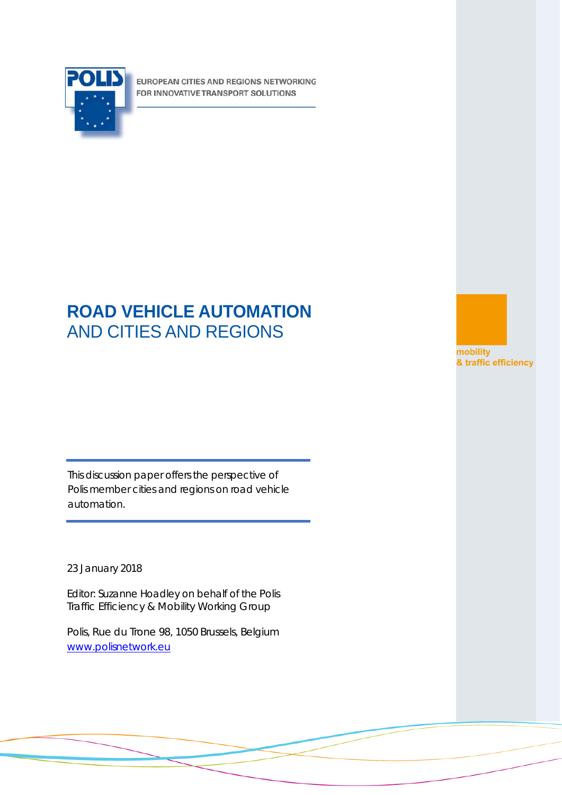

EUROPEAN CITIES AND REGIONS NETWORKING FOR INNOVATIVE TRANSPORT SOLUTIONS

# **ROAD VEHICLE AUTOMATION** AND CITIES AND REGIONS

mobility & traffic efficiency

This discussion paper offers the perspective of Polis member cities and regions on road vehicle automation.

23 January 2018

Editor: Suzanne Hoadley on behalf of the Polis Traffic Efficiency & Mobility Working Group

Polis, Rue du Trone 98, 1050 Brussels, Belgium [www.polisnetwork.eu](http://www.polisnetwork.eu/)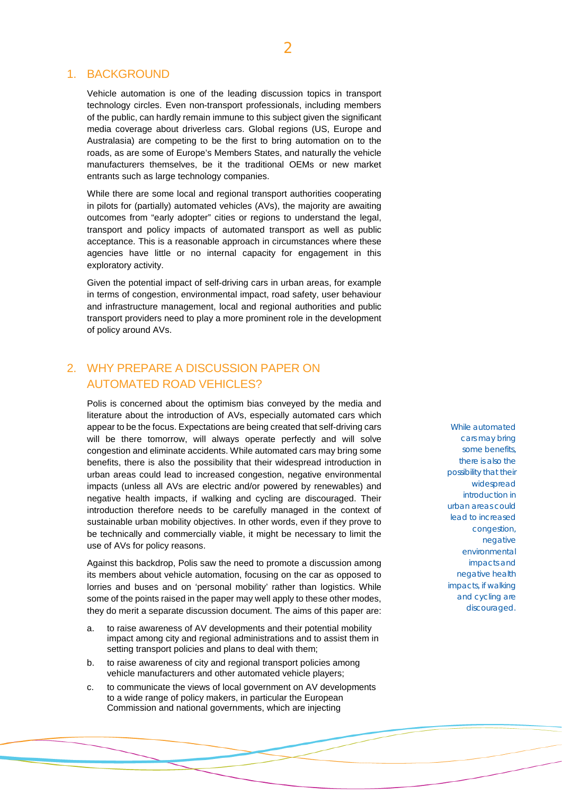### 1. BACKGROUND

Vehicle automation is one of the leading discussion topics in transport technology circles. Even non-transport professionals, including members of the public, can hardly remain immune to this subject given the significant media coverage about driverless cars. Global regions (US, Europe and Australasia) are competing to be the first to bring automation on to the roads, as are some of Europe's Members States, and naturally the vehicle manufacturers themselves, be it the traditional OEMs or new market entrants such as large technology companies.

While there are some local and regional transport authorities cooperating in pilots for (partially) automated vehicles (AVs), the majority are awaiting outcomes from "early adopter" cities or regions to understand the legal, transport and policy impacts of automated transport as well as public acceptance. This is a reasonable approach in circumstances where these agencies have little or no internal capacity for engagement in this exploratory activity.

Given the potential impact of self-driving cars in urban areas, for example in terms of congestion, environmental impact, road safety, user behaviour and infrastructure management, local and regional authorities and public transport providers need to play a more prominent role in the development of policy around AVs.

# 2. WHY PREPARE A DISCUSSION PAPER ON AUTOMATED ROAD VEHICLES?

Polis is concerned about the optimism bias conveyed by the media and literature about the introduction of AVs, especially automated cars which appear to be the focus. Expectations are being created that self-driving cars will be there tomorrow, will always operate perfectly and will solve congestion and eliminate accidents. While automated cars may bring some benefits, there is also the possibility that their widespread introduction in urban areas could lead to increased congestion, negative environmental impacts (unless all AVs are electric and/or powered by renewables) and negative health impacts, if walking and cycling are discouraged. Their introduction therefore needs to be carefully managed in the context of sustainable urban mobility objectives. In other words, even if they prove to be technically and commercially viable, it might be necessary to limit the use of AVs for policy reasons.

Against this backdrop, Polis saw the need to promote a discussion among its members about vehicle automation, focusing on the car as opposed to lorries and buses and on 'personal mobility' rather than logistics. While some of the points raised in the paper may well apply to these other modes, they do merit a separate discussion document. The aims of this paper are:

- a. to raise awareness of AV developments and their potential mobility impact among city and regional administrations and to assist them in setting transport policies and plans to deal with them;
- b. to raise awareness of city and regional transport policies among vehicle manufacturers and other automated vehicle players;
- c. to communicate the views of local government on AV developments to a wide range of policy makers, in particular the European Commission and national governments, which are injecting

While automated cars may bring some benefits, there is also the possibility that their widespread introduction in urban areas could lead to increased congestion, negative environmental impacts and negative health impacts, if walking and cycling are discouraged.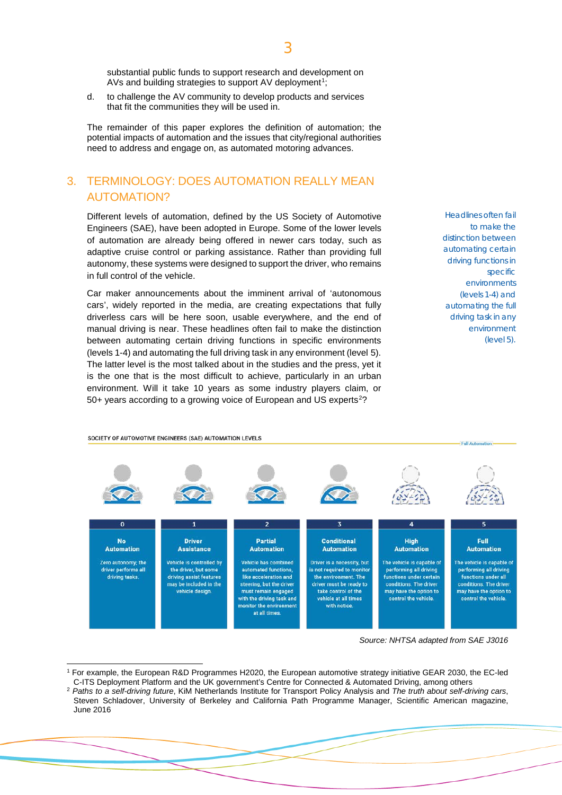substantial public funds to support research and development on AVs and building strategies to support AV deployment<sup>[1](#page-2-0)</sup>;

d. to challenge the AV community to develop products and services that fit the communities they will be used in.

The remainder of this paper explores the definition of automation; the potential impacts of automation and the issues that city/regional authorities need to address and engage on, as automated motoring advances.

# 3. TERMINOLOGY: DOES AUTOMATION REALLY MEAN AUTOMATION?

Different levels of automation, defined by the US Society of Automotive Engineers (SAE), have been adopted in Europe. Some of the lower levels of automation are already being offered in newer cars today, such as adaptive cruise control or parking assistance. Rather than providing full autonomy, these systems were designed to support the driver, who remains in full control of the vehicle.

Car maker announcements about the imminent arrival of 'autonomous cars', widely reported in the media, are creating expectations that fully driverless cars will be here soon, usable everywhere, and the end of manual driving is near. These headlines often fail to make the distinction between automating certain driving functions in specific environments (levels 1-4) and automating the full driving task in any environment (level 5). The latter level is the most talked about in the studies and the press, yet it is the one that is the most difficult to achieve, particularly in an urban environment. Will it take 10 years as some industry players claim, or 50+ years according to a growing voice of European and US experts<sup>[2](#page-2-1)</sup>?

SOCIETY OF AUTOMOTIVE ENGINEERS (SAE) AUTOMATION LEVELS

Headlines often fail to make the distinction between automating certain driving functions in specific environments (levels 1-4) and automating the full driving task in any environment (level 5).



*Source: NHTSA adapted from SAE J3016*

<span id="page-2-0"></span> <sup>1</sup> For example, the European R&D Programmes H2020, the European automotive strategy initiative GEAR 2030, the EC-led C-ITS Deployment Platform and the UK government's Centre for Connected & Automated Driving, among others

<span id="page-2-1"></span><sup>2</sup> *Paths to a self-driving future*, KiM Netherlands Institute for Transport Policy Analysis and *The truth about self-driving cars*, Steven Schladover, University of Berkeley and California Path Programme Manager, Scientific American magazine, June 2016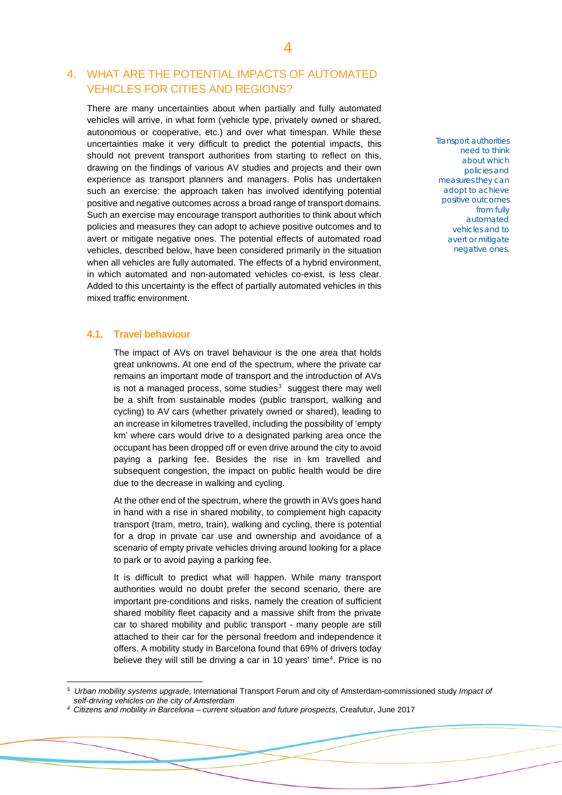# 4. WHAT ARE THE POTENTIAL IMPACTS OF AUTOMATED VEHICLES FOR CITIES AND REGIONS?

There are many uncertainties about when partially and fully automated vehicles will arrive, in what form (vehicle type, privately owned or shared, autonomous or cooperative, etc.) and over what timespan. While these uncertainties make it very difficult to predict the potential impacts, this should not prevent transport authorities from starting to reflect on this, drawing on the findings of various AV studies and projects and their own experience as transport planners and managers. Polis has undertaken such an exercise: the approach taken has involved identifying potential positive and negative outcomes across a broad range of transport domains. Such an exercise may encourage transport authorities to think about which policies and measures they can adopt to achieve positive outcomes and to avert or mitigate negative ones. The potential effects of automated road vehicles, described below, have been considered primarily in the situation when all vehicles are fully automated. The effects of a hybrid environment, in which automated and non-automated vehicles co-exist, is less clear. Added to this uncertainty is the effect of partially automated vehicles in this mixed traffic environment.

### **4.1. Travel behaviour**

The impact of AVs on travel behaviour is the one area that holds great unknowns. At one end of the spectrum, where the private car remains an important mode of transport and the introduction of AVs is not a managed process, some studies $3$  suggest there may well be a shift from sustainable modes (public transport, walking and cycling) to AV cars (whether privately owned or shared), leading to an increase in kilometres travelled, including the possibility of 'empty km' where cars would drive to a designated parking area once the occupant has been dropped off or even drive around the city to avoid paying a parking fee. Besides the rise in km travelled and subsequent congestion, the impact on public health would be dire due to the decrease in walking and cycling.

At the other end of the spectrum, where the growth in AVs goes hand in hand with a rise in shared mobility, to complement high capacity transport (tram, metro, train), walking and cycling, there is potential for a drop in private car use and ownership and avoidance of a scenario of empty private vehicles driving around looking for a place to park or to avoid paying a parking fee.

It is difficult to predict what will happen. While many transport authorities would no doubt prefer the second scenario, there are important pre-conditions and risks, namely the creation of sufficient shared mobility fleet capacity and a massive shift from the private car to shared mobility and public transport - many people are still attached to their car for the personal freedom and independence it offers. A mobility study in Barcelona found that 69% of drivers today believe they will still be driving a car in 10 years' time<sup>[4](#page-3-1)</sup>. Price is no Transport authorities need to think about which policies and measures they can adopt to achieve positive outcomes from fully automated vehicles and to avert or mitigate negative ones.

<span id="page-3-0"></span> <sup>3</sup> *Urban mobility systems upgrade*, International Transport Forum and city of Amsterdam-commissioned study *Impact of self-driving vehicles on the city of Amsterdam*

<span id="page-3-1"></span>*<sup>4</sup> Citizens and mobility in Barcelona – current situation and future prospects*, Creafutur, June 2017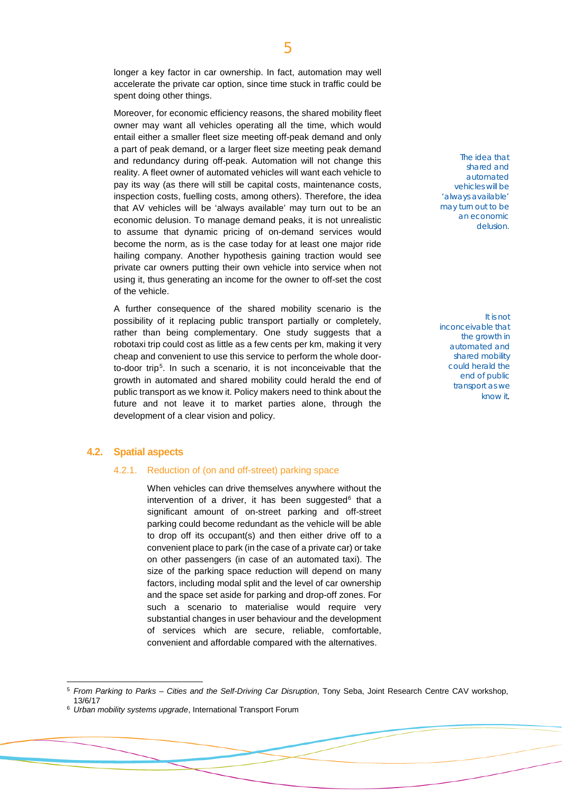longer a key factor in car ownership. In fact, automation may well accelerate the private car option, since time stuck in traffic could be spent doing other things.

Moreover, for economic efficiency reasons, the shared mobility fleet owner may want all vehicles operating all the time, which would entail either a smaller fleet size meeting off-peak demand and only a part of peak demand, or a larger fleet size meeting peak demand and redundancy during off-peak. Automation will not change this reality. A fleet owner of automated vehicles will want each vehicle to pay its way (as there will still be capital costs, maintenance costs, inspection costs, fuelling costs, among others). Therefore, the idea that AV vehicles will be 'always available' may turn out to be an economic delusion. To manage demand peaks, it is not unrealistic to assume that dynamic pricing of on-demand services would become the norm, as is the case today for at least one major ride hailing company. Another hypothesis gaining traction would see private car owners putting their own vehicle into service when not using it, thus generating an income for the owner to off-set the cost of the vehicle.

A further consequence of the shared mobility scenario is the possibility of it replacing public transport partially or completely, rather than being complementary. One study suggests that a robotaxi trip could cost as little as a few cents per km, making it very cheap and convenient to use this service to perform the whole door-to-door trip<sup>[5](#page-4-0)</sup>. In such a scenario, it is not inconceivable that the growth in automated and shared mobility could herald the end of public transport as we know it. Policy makers need to think about the future and not leave it to market parties alone, through the development of a clear vision and policy.

#### **4.2. Spatial aspects**

#### 4.2.1. Reduction of (on and off-street) parking space

When vehicles can drive themselves anywhere without the intervention of a driver, it has been suggested $6$  that a significant amount of on-street parking and off-street parking could become redundant as the vehicle will be able to drop off its occupant(s) and then either drive off to a convenient place to park (in the case of a private car) or take on other passengers (in case of an automated taxi). The size of the parking space reduction will depend on many factors, including modal split and the level of car ownership and the space set aside for parking and drop-off zones. For such a scenario to materialise would require very substantial changes in user behaviour and the development of services which are secure, reliable, comfortable, convenient and affordable compared with the alternatives.

The idea that shared and automated vehicles will be 'always available' may turn out to be an economic delusion.

It is not inconceivable that the growth in automated and shared mobility could herald the end of public transport as we know it.

<span id="page-4-0"></span> <sup>5</sup> *From Parking to Parks – Cities and the Self-Driving Car Disruption*, Tony Seba, Joint Research Centre CAV workshop, 13/6/17

<span id="page-4-1"></span><sup>6</sup> *Urban mobility systems upgrade*, International Transport Forum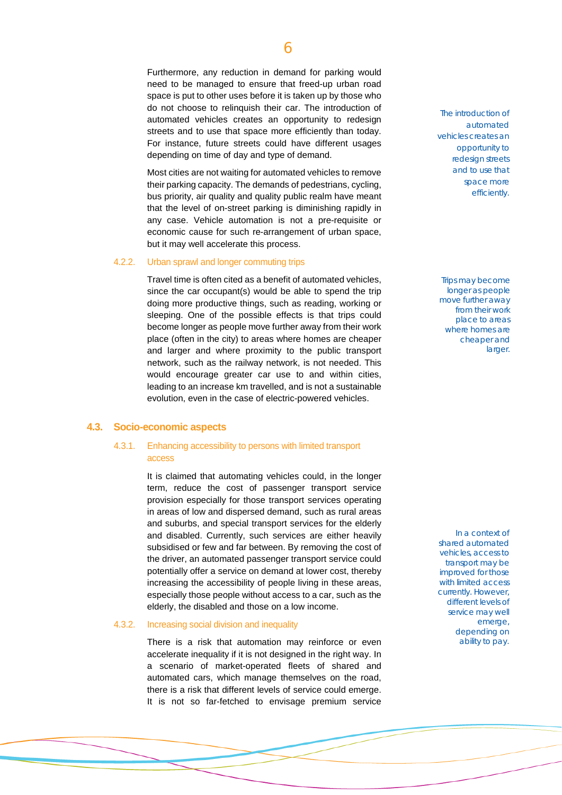Furthermore, any reduction in demand for parking would need to be managed to ensure that freed-up urban road space is put to other uses before it is taken up by those who do not choose to relinquish their car. The introduction of automated vehicles creates an opportunity to redesign streets and to use that space more efficiently than today. For instance, future streets could have different usages depending on time of day and type of demand.

Most cities are not waiting for automated vehicles to remove their parking capacity. The demands of pedestrians, cycling, bus priority, air quality and quality public realm have meant that the level of on-street parking is diminishing rapidly in any case. Vehicle automation is not a pre-requisite or economic cause for such re-arrangement of urban space, but it may well accelerate this process.

#### 4.2.2. Urban sprawl and longer commuting trips

Travel time is often cited as a benefit of automated vehicles, since the car occupant(s) would be able to spend the trip doing more productive things, such as reading, working or sleeping. One of the possible effects is that trips could become longer as people move further away from their work place (often in the city) to areas where homes are cheaper and larger and where proximity to the public transport network, such as the railway network, is not needed. This would encourage greater car use to and within cities, leading to an increase km travelled, and is not a sustainable evolution, even in the case of electric-powered vehicles.

#### **4.3. Socio-economic aspects**

#### 4.3.1. Enhancing accessibility to persons with limited transport access

It is claimed that automating vehicles could, in the longer term, reduce the cost of passenger transport service provision especially for those transport services operating in areas of low and dispersed demand, such as rural areas and suburbs, and special transport services for the elderly and disabled. Currently, such services are either heavily subsidised or few and far between. By removing the cost of the driver, an automated passenger transport service could potentially offer a service on demand at lower cost, thereby increasing the accessibility of people living in these areas, especially those people without access to a car, such as the elderly, the disabled and those on a low income.

#### 4.3.2. Increasing social division and inequality

There is a risk that automation may reinforce or even accelerate inequality if it is not designed in the right way. In a scenario of market-operated fleets of shared and automated cars, which manage themselves on the road, there is a risk that different levels of service could emerge. It is not so far-fetched to envisage premium service

The introduction of automated vehicles creates an opportunity to redesign streets and to use that space more efficiently.

Trips may become longer as people move further away from their work place to areas where homes are cheaper and larger.

In a context of shared automated vehicles, access to transport may be improved for those with limited access currently. However, different levels of service may well emerge, depending on ability to pay.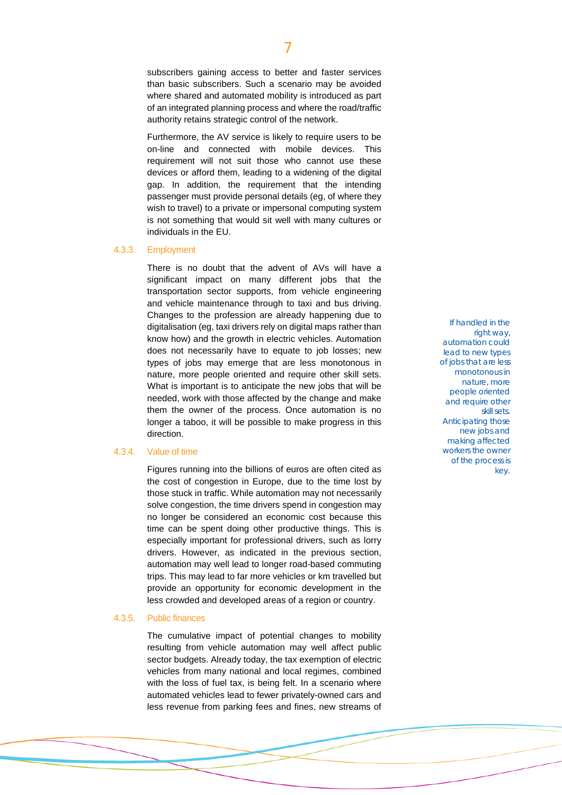subscribers gaining access to better and faster services than basic subscribers. Such a scenario may be avoided where shared and automated mobility is introduced as part of an integrated planning process and where the road/traffic authority retains strategic control of the network.

Furthermore, the AV service is likely to require users to be on-line and connected with mobile devices. This requirement will not suit those who cannot use these devices or afford them, leading to a widening of the digital gap. In addition, the requirement that the intending passenger must provide personal details (eg, of where they wish to travel) to a private or impersonal computing system is not something that would sit well with many cultures or individuals in the EU.

#### 4.3.3. Employment

There is no doubt that the advent of AVs will have a significant impact on many different jobs that the transportation sector supports, from vehicle engineering and vehicle maintenance through to taxi and bus driving. Changes to the profession are already happening due to digitalisation (eg, taxi drivers rely on digital maps rather than know how) and the growth in electric vehicles. Automation does not necessarily have to equate to job losses; new types of jobs may emerge that are less monotonous in nature, more people oriented and require other skill sets. What is important is to anticipate the new jobs that will be needed, work with those affected by the change and make them the owner of the process. Once automation is no longer a taboo, it will be possible to make progress in this direction.

#### 4.3.4. Value of time

Figures running into the billions of euros are often cited as the cost of congestion in Europe, due to the time lost by those stuck in traffic. While automation may not necessarily solve congestion, the time drivers spend in congestion may no longer be considered an economic cost because this time can be spent doing other productive things. This is especially important for professional drivers, such as lorry drivers. However, as indicated in the previous section, automation may well lead to longer road-based commuting trips. This may lead to far more vehicles or km travelled but provide an opportunity for economic development in the less crowded and developed areas of a region or country.

#### 4.3.5. Public finances

The cumulative impact of potential changes to mobility resulting from vehicle automation may well affect public sector budgets. Already today, the tax exemption of electric vehicles from many national and local regimes, combined with the loss of fuel tax, is being felt. In a scenario where automated vehicles lead to fewer privately-owned cars and less revenue from parking fees and fines, new streams of

If handled in the right way, automation could lead to new types of jobs that are less monotonous in nature, more people oriented and require other skill sets. Anticipating those new jobs and making affected workers the owner of the process is key.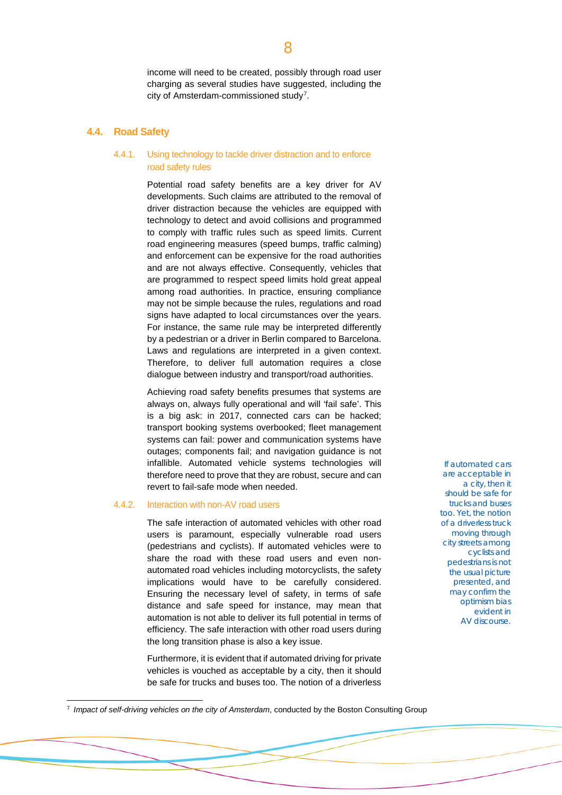income will need to be created, possibly through road user charging as several studies have suggested, including the city of Amsterdam-commissioned study<sup>[7](#page-7-0)</sup>.

#### **4.4. Road Safety**

#### 4.4.1. Using technology to tackle driver distraction and to enforce road safety rules

Potential road safety benefits are a key driver for AV developments. Such claims are attributed to the removal of driver distraction because the vehicles are equipped with technology to detect and avoid collisions and programmed to comply with traffic rules such as speed limits. Current road engineering measures (speed bumps, traffic calming) and enforcement can be expensive for the road authorities and are not always effective. Consequently, vehicles that are programmed to respect speed limits hold great appeal among road authorities. In practice, ensuring compliance may not be simple because the rules, regulations and road signs have adapted to local circumstances over the years. For instance, the same rule may be interpreted differently by a pedestrian or a driver in Berlin compared to Barcelona. Laws and regulations are interpreted in a given context. Therefore, to deliver full automation requires a close dialogue between industry and transport/road authorities.

Achieving road safety benefits presumes that systems are always on, always fully operational and will 'fail safe'. This is a big ask: in 2017, connected cars can be hacked; transport booking systems overbooked; fleet management systems can fail: power and communication systems have outages; components fail; and navigation guidance is not infallible. Automated vehicle systems technologies will therefore need to prove that they are robust, secure and can revert to fail-safe mode when needed.

#### 4.4.2. Interaction with non-AV road users

The safe interaction of automated vehicles with other road users is paramount, especially vulnerable road users (pedestrians and cyclists). If automated vehicles were to share the road with these road users and even nonautomated road vehicles including motorcyclists, the safety implications would have to be carefully considered. Ensuring the necessary level of safety, in terms of safe distance and safe speed for instance, may mean that automation is not able to deliver its full potential in terms of efficiency. The safe interaction with other road users during the long transition phase is also a key issue.

Furthermore, it is evident that if automated driving for private vehicles is vouched as acceptable by a city, then it should be safe for trucks and buses too. The notion of a driverless

If automated cars are acceptable in a city, then it should be safe for trucks and buses too. Yet, the notion of a driverless truck moving through city streets among cyclists and pedestrians is not the usual picture presented, and may confirm the optimism bias evident in AV discourse.

<span id="page-7-0"></span> <sup>7</sup> *Impact of self-driving vehicles on the city of Amsterdam*, conducted by the Boston Consulting Group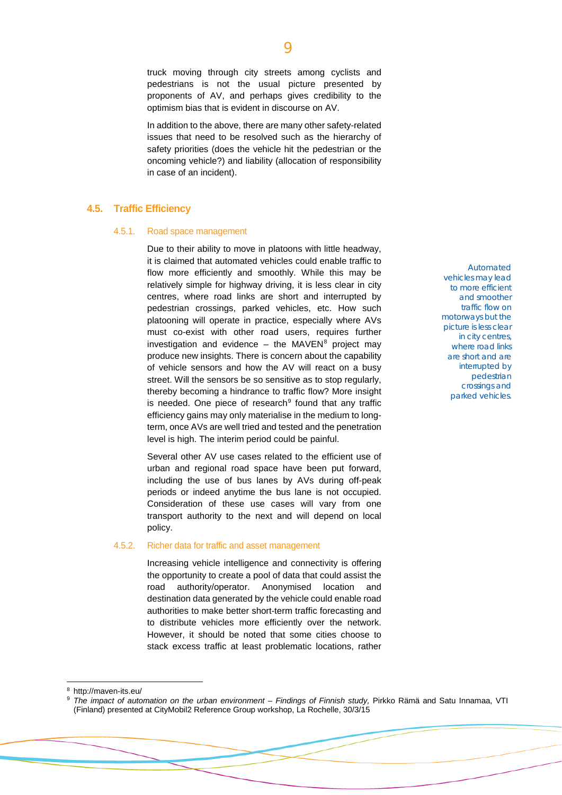truck moving through city streets among cyclists and pedestrians is not the usual picture presented by proponents of AV, and perhaps gives credibility to the optimism bias that is evident in discourse on AV.

In addition to the above, there are many other safety-related issues that need to be resolved such as the hierarchy of safety priorities (does the vehicle hit the pedestrian or the oncoming vehicle?) and liability (allocation of responsibility in case of an incident).

#### **4.5. Traffic Efficiency**

#### 4.5.1. Road space management

Due to their ability to move in platoons with little headway, it is claimed that automated vehicles could enable traffic to flow more efficiently and smoothly. While this may be relatively simple for highway driving, it is less clear in city centres, where road links are short and interrupted by pedestrian crossings, parked vehicles, etc. How such platooning will operate in practice, especially where AVs must co-exist with other road users, requires further investigation and evidence  $-$  the MAVEN<sup>[8](#page-8-0)</sup> project may produce new insights. There is concern about the capability of vehicle sensors and how the AV will react on a busy street. Will the sensors be so sensitive as to stop regularly, thereby becoming a hindrance to traffic flow? More insight is needed. One piece of research $9$  found that any traffic efficiency gains may only materialise in the medium to longterm, once AVs are well tried and tested and the penetration level is high. The interim period could be painful.

Several other AV use cases related to the efficient use of urban and regional road space have been put forward, including the use of bus lanes by AVs during off-peak periods or indeed anytime the bus lane is not occupied. Consideration of these use cases will vary from one transport authority to the next and will depend on local policy.

#### 4.5.2. Richer data for traffic and asset management

Increasing vehicle intelligence and connectivity is offering the opportunity to create a pool of data that could assist the road authority/operator. Anonymised location and destination data generated by the vehicle could enable road authorities to make better short-term traffic forecasting and to distribute vehicles more efficiently over the network. However, it should be noted that some cities choose to stack excess traffic at least problematic locations, rather

Automated vehicles may lead to more efficient and smoother traffic flow on motorways but the picture is less clear in city centres, where road links are short and are interrupted by pedestrian crossings and parked vehicles.

 $\overline{Q}$ 

<span id="page-8-1"></span><span id="page-8-0"></span><sup>9</sup> *The impact of automation on the urban environment – Findings of Finnish study,* Pirkko Rämä and Satu Innamaa, VTI (Finland) presented at CityMobil2 Reference Group workshop, La Rochelle, 30/3/15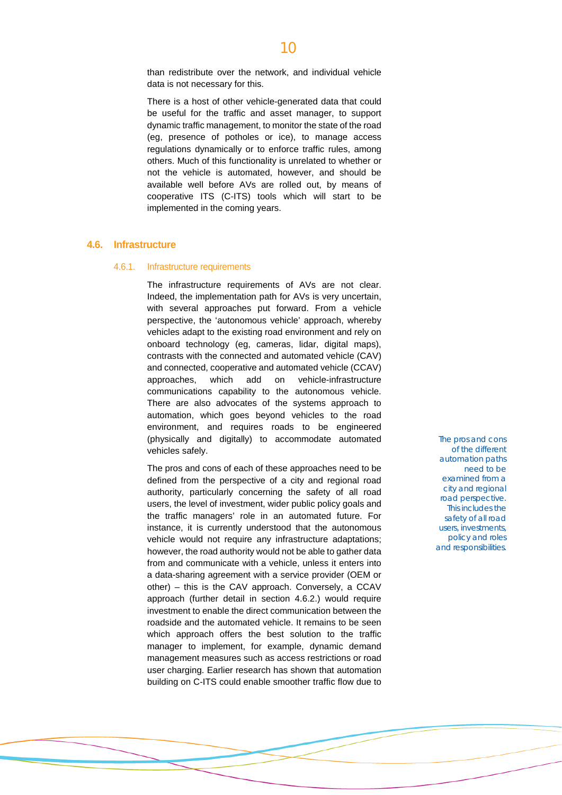than redistribute over the network, and individual vehicle data is not necessary for this.

There is a host of other vehicle-generated data that could be useful for the traffic and asset manager, to support dynamic traffic management, to monitor the state of the road (eg, presence of potholes or ice), to manage access regulations dynamically or to enforce traffic rules, among others. Much of this functionality is unrelated to whether or not the vehicle is automated, however, and should be available well before AVs are rolled out, by means of cooperative ITS (C-ITS) tools which will start to be implemented in the coming years.

#### **4.6. Infrastructure**

#### 4.6.1. Infrastructure requirements

The infrastructure requirements of AVs are not clear. Indeed, the implementation path for AVs is very uncertain, with several approaches put forward. From a vehicle perspective, the 'autonomous vehicle' approach, whereby vehicles adapt to the existing road environment and rely on onboard technology (eg, cameras, lidar, digital maps), contrasts with the connected and automated vehicle (CAV) and connected, cooperative and automated vehicle (CCAV) approaches, which add on vehicle-infrastructure communications capability to the autonomous vehicle. There are also advocates of the systems approach to automation, which goes beyond vehicles to the road environment, and requires roads to be engineered (physically and digitally) to accommodate automated vehicles safely.

The pros and cons of each of these approaches need to be defined from the perspective of a city and regional road authority, particularly concerning the safety of all road users, the level of investment, wider public policy goals and the traffic managers' role in an automated future. For instance, it is currently understood that the autonomous vehicle would not require any infrastructure adaptations; however, the road authority would not be able to gather data from and communicate with a vehicle, unless it enters into a data-sharing agreement with a service provider (OEM or other) – this is the CAV approach. Conversely, a CCAV approach (further detail in section 4.6.2.) would require investment to enable the direct communication between the roadside and the automated vehicle. It remains to be seen which approach offers the best solution to the traffic manager to implement, for example, dynamic demand management measures such as access restrictions or road user charging. Earlier research has shown that automation building on C-ITS could enable smoother traffic flow due to

The pros and cons of the different automation paths need to be examined from a city and regional road perspective. This includes the safety of all road users, investments, policy and roles and responsibilities.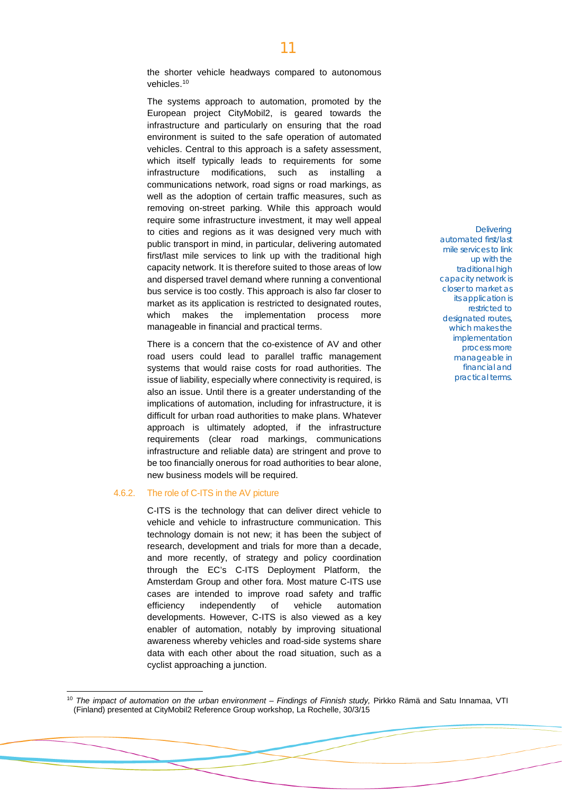the shorter vehicle headways compared to autonomous vehicles[.10](#page-10-0)

The systems approach to automation, promoted by the European project CityMobil2, is geared towards the infrastructure and particularly on ensuring that the road environment is suited to the safe operation of automated vehicles. Central to this approach is a safety assessment, which itself typically leads to requirements for some infrastructure modifications, such as installing a communications network, road signs or road markings, as well as the adoption of certain traffic measures, such as removing on-street parking. While this approach would require some infrastructure investment, it may well appeal to cities and regions as it was designed very much with public transport in mind, in particular, delivering automated first/last mile services to link up with the traditional high capacity network. It is therefore suited to those areas of low and dispersed travel demand where running a conventional bus service is too costly. This approach is also far closer to market as its application is restricted to designated routes, which makes the implementation process more manageable in financial and practical terms.

There is a concern that the co-existence of AV and other road users could lead to parallel traffic management systems that would raise costs for road authorities. The issue of liability, especially where connectivity is required, is also an issue. Until there is a greater understanding of the implications of automation, including for infrastructure, it is difficult for urban road authorities to make plans. Whatever approach is ultimately adopted, if the infrastructure requirements (clear road markings, communications infrastructure and reliable data) are stringent and prove to be too financially onerous for road authorities to bear alone, new business models will be required.

#### 4.6.2. The role of C-ITS in the AV picture

C-ITS is the technology that can deliver direct vehicle to vehicle and vehicle to infrastructure communication. This technology domain is not new; it has been the subject of research, development and trials for more than a decade, and more recently, of strategy and policy coordination through the EC's C-ITS Deployment Platform, the Amsterdam Group and other fora. Most mature C-ITS use cases are intended to improve road safety and traffic efficiency independently of vehicle automation developments. However, C-ITS is also viewed as a key enabler of automation, notably by improving situational awareness whereby vehicles and road-side systems share data with each other about the road situation, such as a cyclist approaching a junction.

**Delivering** automated first/last mile services to link up with the traditional high capacity network is closer to market as its application is restricted to designated routes, which makes the implementation process more manageable in financial and practical terms.

<span id="page-10-0"></span> <sup>10</sup> *The impact of automation on the urban environment – Findings of Finnish study,* Pirkko Rämä and Satu Innamaa, VTI (Finland) presented at CityMobil2 Reference Group workshop, La Rochelle, 30/3/15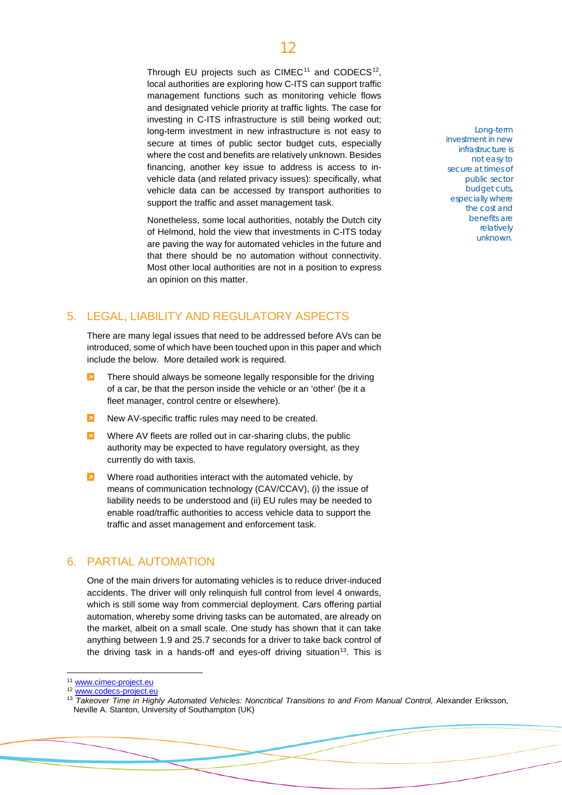# 12

Through EU projects such as  $CIMEC<sup>11</sup>$  $CIMEC<sup>11</sup>$  $CIMEC<sup>11</sup>$  and  $CODECS<sup>12</sup>$ . local authorities are exploring how C-ITS can support traffic management functions such as monitoring vehicle flows and designated vehicle priority at traffic lights. The case for investing in C-ITS infrastructure is still being worked out; long-term investment in new infrastructure is not easy to secure at times of public sector budget cuts, especially where the cost and benefits are relatively unknown. Besides financing, another key issue to address is access to invehicle data (and related privacy issues): specifically, what vehicle data can be accessed by transport authorities to support the traffic and asset management task.

Nonetheless, some local authorities, notably the Dutch city of Helmond, hold the view that investments in C-ITS today are paving the way for automated vehicles in the future and that there should be no automation without connectivity. Most other local authorities are not in a position to express an opinion on this matter.

## 5. LEGAL, LIABILITY AND REGULATORY ASPECTS

There are many legal issues that need to be addressed before AVs can be introduced, some of which have been touched upon in this paper and which include the below. More detailed work is required.

- There should always be someone legally responsible for the driving of a car, be that the person inside the vehicle or an 'other' (be it a fleet manager, control centre or elsewhere).
- New AV-specific traffic rules may need to be created.
- Where AV fleets are rolled out in car-sharing clubs, the public  $\overline{a}$ authority may be expected to have regulatory oversight, as they currently do with taxis.
- $\overline{a}$ Where road authorities interact with the automated vehicle, by means of communication technology (CAV/CCAV), (i) the issue of liability needs to be understood and (ii) EU rules may be needed to enable road/traffic authorities to access vehicle data to support the traffic and asset management and enforcement task.

### 6. PARTIAL AUTOMATION

One of the main drivers for automating vehicles is to reduce driver-induced accidents. The driver will only relinquish full control from level 4 onwards, which is still some way from commercial deployment. Cars offering partial automation, whereby some driving tasks can be automated, are already on the market, albeit on a small scale. One study has shown that it can take anything between 1.9 and 25.7 seconds for a driver to take back control of the driving task in a hands-off and eyes-off driving situation<sup>[13](#page-11-2)</sup>. This is

Long-term investment in new infrastructure is not easy to secure at times of public sector budget cuts, especially where the cost and benefits are relatively unknown.

<span id="page-11-0"></span><sup>11</sup> [www.cimec-project.eu](http://www.cimec-project.eu/)

<span id="page-11-1"></span><sup>12</sup> [www.codecs-project.eu](http://www.codecs-project.eu/)

<span id="page-11-2"></span><sup>&</sup>lt;sup>13</sup> Takeover Time in Highly Automated Vehicles: Noncritical Transitions to and From Manual Control, Alexander Eriksson, Neville A. Stanton, University of Southampton (UK)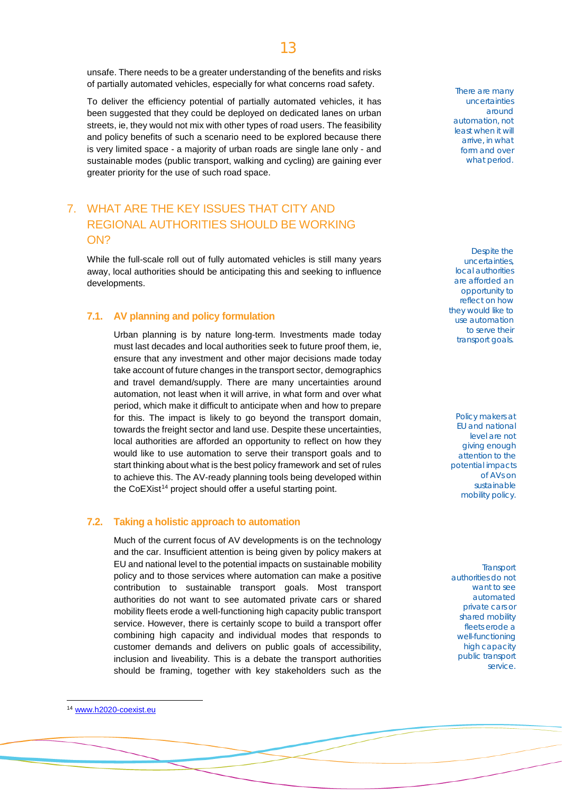unsafe. There needs to be a greater understanding of the benefits and risks of partially automated vehicles, especially for what concerns road safety.

To deliver the efficiency potential of partially automated vehicles, it has been suggested that they could be deployed on dedicated lanes on urban streets, ie, they would not mix with other types of road users. The feasibility and policy benefits of such a scenario need to be explored because there is very limited space - a majority of urban roads are single lane only - and sustainable modes (public transport, walking and cycling) are gaining ever greater priority for the use of such road space.

# 7. WHAT ARE THE KEY ISSUES THAT CITY AND REGIONAL AUTHORITIES SHOULD BE WORKING ON?

While the full-scale roll out of fully automated vehicles is still many years away, local authorities should be anticipating this and seeking to influence developments.

#### **7.1. AV planning and policy formulation**

Urban planning is by nature long-term. Investments made today must last decades and local authorities seek to future proof them, ie, ensure that any investment and other major decisions made today take account of future changes in the transport sector, demographics and travel demand/supply. There are many uncertainties around automation, not least when it will arrive, in what form and over what period, which make it difficult to anticipate when and how to prepare for this. The impact is likely to go beyond the transport domain, towards the freight sector and land use. Despite these uncertainties, local authorities are afforded an opportunity to reflect on how they would like to use automation to serve their transport goals and to start thinking about what is the best policy framework and set of rules to achieve this. The AV-ready planning tools being developed within the CoEXist<sup>[14](#page-12-0)</sup> project should offer a useful starting point.

#### **7.2. Taking a holistic approach to automation**

Much of the current focus of AV developments is on the technology and the car. Insufficient attention is being given by policy makers at EU and national level to the potential impacts on sustainable mobility policy and to those services where automation can make a positive contribution to sustainable transport goals. Most transport authorities do not want to see automated private cars or shared mobility fleets erode a well-functioning high capacity public transport service. However, there is certainly scope to build a transport offer combining high capacity and individual modes that responds to customer demands and delivers on public goals of accessibility, inclusion and liveability. This is a debate the transport authorities should be framing, together with key stakeholders such as the

There are many uncertainties around automation, not least when it will arrive, in what form and over what period.

Despite the uncertainties, local authorities are afforded an opportunity to reflect on how they would like to use automation to serve their transport goals.

Policy makers at EU and national level are not giving enough attention to the potential impacts of AVs on sustainable mobility policy.

**Transport** authorities do not want to see automated private cars or shared mobility fleets erode a well-functioning high capacity public transport service.

<span id="page-12-0"></span> <sup>14</sup> [www.h2020-coexist.eu](http://www.h2020-coexist.eu/)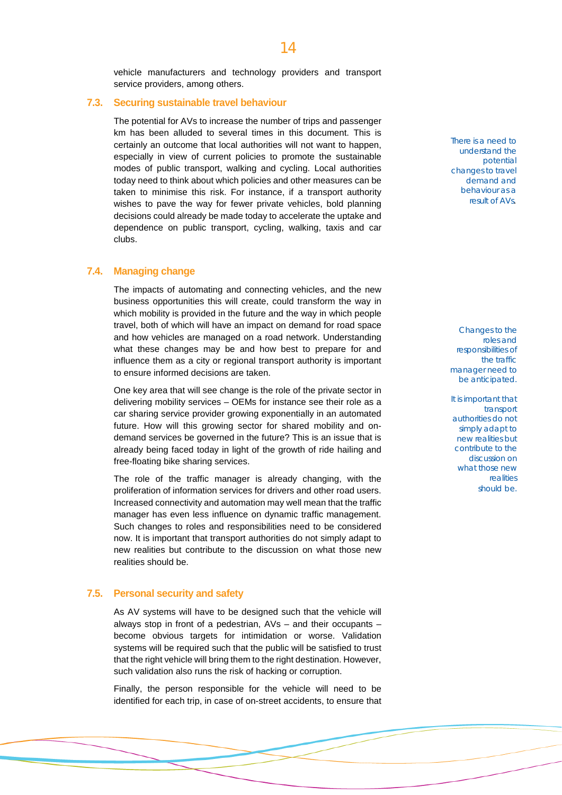vehicle manufacturers and technology providers and transport service providers, among others.

#### **7.3. Securing sustainable travel behaviour**

The potential for AVs to increase the number of trips and passenger km has been alluded to several times in this document. This is certainly an outcome that local authorities will not want to happen, especially in view of current policies to promote the sustainable modes of public transport, walking and cycling. Local authorities today need to think about which policies and other measures can be taken to minimise this risk. For instance, if a transport authority wishes to pave the way for fewer private vehicles, bold planning decisions could already be made today to accelerate the uptake and dependence on public transport, cycling, walking, taxis and car clubs.

#### **7.4. Managing change**

The impacts of automating and connecting vehicles, and the new business opportunities this will create, could transform the way in which mobility is provided in the future and the way in which people travel, both of which will have an impact on demand for road space and how vehicles are managed on a road network. Understanding what these changes may be and how best to prepare for and influence them as a city or regional transport authority is important to ensure informed decisions are taken.

One key area that will see change is the role of the private sector in delivering mobility services – OEMs for instance see their role as a car sharing service provider growing exponentially in an automated future. How will this growing sector for shared mobility and ondemand services be governed in the future? This is an issue that is already being faced today in light of the growth of ride hailing and free-floating bike sharing services.

The role of the traffic manager is already changing, with the proliferation of information services for drivers and other road users. Increased connectivity and automation may well mean that the traffic manager has even less influence on dynamic traffic management. Such changes to roles and responsibilities need to be considered now. It is important that transport authorities do not simply adapt to new realities but contribute to the discussion on what those new realities should be.

#### **7.5. Personal security and safety**

As AV systems will have to be designed such that the vehicle will always stop in front of a pedestrian, AVs – and their occupants – become obvious targets for intimidation or worse. Validation systems will be required such that the public will be satisfied to trust that the right vehicle will bring them to the right destination. However, such validation also runs the risk of hacking or corruption.

Finally, the person responsible for the vehicle will need to be identified for each trip, in case of on-street accidents, to ensure that There is a need to understand the potential changes to travel demand and behaviour as a result of AVs.

Changes to the roles and responsibilities of the traffic manager need to be anticipated.

It is important that transport authorities do not simply adapt to new realities but contribute to the discussion on what those new realities should be.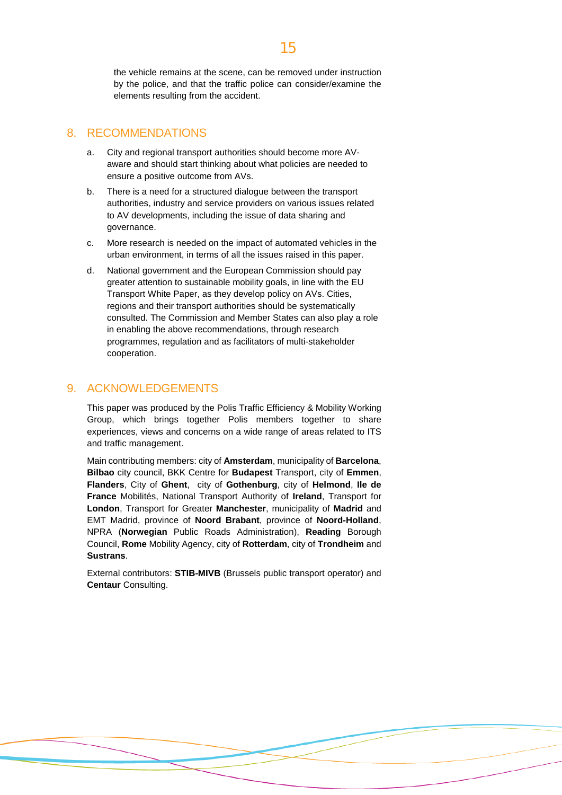the vehicle remains at the scene, can be removed under instruction by the police, and that the traffic police can consider/examine the elements resulting from the accident.

### 8. RECOMMENDATIONS

- a. City and regional transport authorities should become more AVaware and should start thinking about what policies are needed to ensure a positive outcome from AVs.
- b. There is a need for a structured dialogue between the transport authorities, industry and service providers on various issues related to AV developments, including the issue of data sharing and governance.
- c. More research is needed on the impact of automated vehicles in the urban environment, in terms of all the issues raised in this paper.
- d. National government and the European Commission should pay greater attention to sustainable mobility goals, in line with the EU Transport White Paper, as they develop policy on AVs. Cities, regions and their transport authorities should be systematically consulted. The Commission and Member States can also play a role in enabling the above recommendations, through research programmes, regulation and as facilitators of multi-stakeholder cooperation.

### 9. ACKNOWLEDGEMENTS

This paper was produced by the Polis Traffic Efficiency & Mobility Working Group, which brings together Polis members together to share experiences, views and concerns on a wide range of areas related to ITS and traffic management.

Main contributing members: city of **Amsterdam**, municipality of **Barcelona**, **Bilbao** city council, BKK Centre for **Budapest** Transport, city of **Emmen**, **Flanders**, City of **Ghent**, city of **Gothenburg**, city of **Helmond**, **Ile de France** Mobilités, National Transport Authority of **Ireland**, Transport for **London**, Transport for Greater **Manchester**, municipality of **Madrid** and EMT Madrid, province of **Noord Brabant**, province of **Noord-Holland**, NPRA (**Norwegian** Public Roads Administration), **Reading** Borough Council, **Rome** Mobility Agency, city of **Rotterdam**, city of **Trondheim** and **Sustrans**.

External contributors: **STIB-MIVB** (Brussels public transport operator) and **Centaur** Consulting.